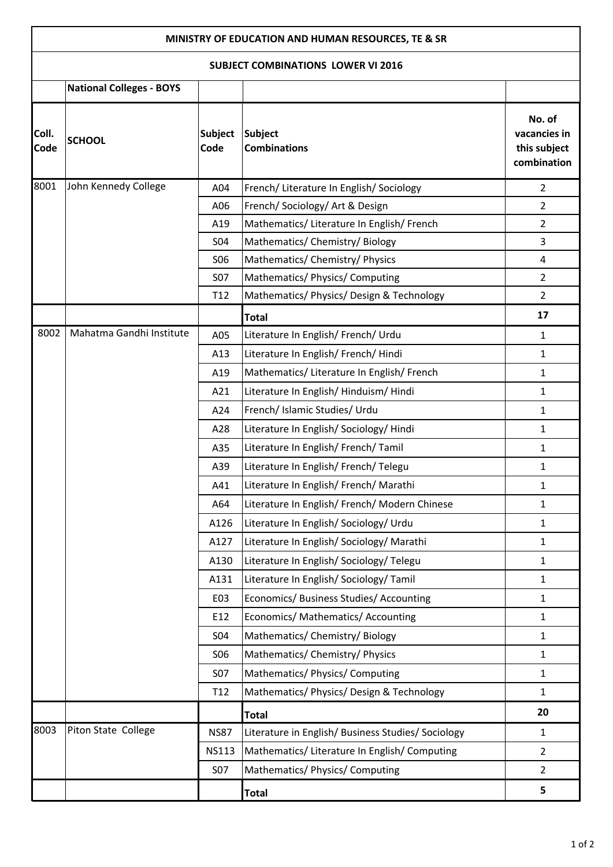## **MINISTRY OF EDUCATION AND HUMAN RESOURCES, TE & SR**

## **SUBJECT COMBINATIONS LOWER VI 2016**

| SUBJECT COMBINATIONS LOWER VI 2016 |                                 |                        |                                                    |                                                       |  |  |  |
|------------------------------------|---------------------------------|------------------------|----------------------------------------------------|-------------------------------------------------------|--|--|--|
|                                    | <b>National Colleges - BOYS</b> |                        |                                                    |                                                       |  |  |  |
| Coll.<br>Code                      | <b>SCHOOL</b>                   | <b>Subject</b><br>Code | <b>Subject</b><br><b>Combinations</b>              | No. of<br>vacancies in<br>this subject<br>combination |  |  |  |
| 8001                               | John Kennedy College            | A04                    | French/ Literature In English/ Sociology           | $\overline{2}$                                        |  |  |  |
|                                    |                                 | A06                    | French/Sociology/Art & Design                      | $\overline{2}$                                        |  |  |  |
|                                    |                                 | A19                    | Mathematics/ Literature In English/ French         | $\overline{2}$                                        |  |  |  |
|                                    |                                 | <b>S04</b>             | Mathematics/ Chemistry/ Biology                    | 3                                                     |  |  |  |
|                                    |                                 | <b>SO6</b>             | Mathematics/ Chemistry/ Physics                    | 4                                                     |  |  |  |
|                                    |                                 | <b>S07</b>             | Mathematics/ Physics/ Computing                    | $\overline{2}$                                        |  |  |  |
|                                    |                                 | T <sub>12</sub>        | Mathematics/ Physics/ Design & Technology          | $\overline{2}$                                        |  |  |  |
|                                    |                                 |                        | <b>Total</b>                                       | 17                                                    |  |  |  |
| 8002                               | Mahatma Gandhi Institute        | A05                    | Literature In English/ French/ Urdu                | $\mathbf{1}$                                          |  |  |  |
|                                    |                                 | A13                    | Literature In English/ French/ Hindi               | $\mathbf{1}$                                          |  |  |  |
|                                    |                                 | A19                    | Mathematics/ Literature In English/ French         | $\mathbf{1}$                                          |  |  |  |
|                                    |                                 | A21                    | Literature In English/Hinduism/Hindi               | $\mathbf{1}$                                          |  |  |  |
|                                    |                                 | A24                    | French/ Islamic Studies/ Urdu                      | $\mathbf{1}$                                          |  |  |  |
|                                    |                                 | A28                    | Literature In English/Sociology/Hindi              | $\mathbf{1}$                                          |  |  |  |
|                                    |                                 | A35                    | Literature In English/ French/ Tamil               | $\mathbf{1}$                                          |  |  |  |
|                                    |                                 | A39                    | Literature In English/ French/ Telegu              | 1                                                     |  |  |  |
|                                    |                                 | A41                    | Literature In English/ French/ Marathi             | $\mathbf{1}$                                          |  |  |  |
|                                    |                                 | A64                    | Literature In English/ French/ Modern Chinese      | $\mathbf{1}$                                          |  |  |  |
|                                    |                                 | A126                   | Literature In English/Sociology/Urdu               | 1                                                     |  |  |  |
|                                    |                                 | A127                   | Literature In English/Sociology/Marathi            | $\mathbf{1}$                                          |  |  |  |
|                                    |                                 | A130                   | Literature In English/Sociology/Telegu             | $\mathbf{1}$                                          |  |  |  |
|                                    |                                 | A131                   | Literature In English/Sociology/Tamil              | $\mathbf{1}$                                          |  |  |  |
|                                    |                                 | E03                    | Economics/ Business Studies/ Accounting            | $\mathbf{1}$                                          |  |  |  |
|                                    |                                 | E12                    | Economics/ Mathematics/ Accounting                 | $\mathbf{1}$                                          |  |  |  |
|                                    |                                 | S04                    | Mathematics/ Chemistry/ Biology                    | $\mathbf{1}$                                          |  |  |  |
|                                    |                                 | <b>SO6</b>             | Mathematics/ Chemistry/ Physics                    | $\mathbf{1}$                                          |  |  |  |
|                                    |                                 | <b>S07</b>             | Mathematics/ Physics/ Computing                    | $\mathbf{1}$                                          |  |  |  |
|                                    |                                 | T <sub>12</sub>        | Mathematics/ Physics/ Design & Technology          | $\mathbf{1}$                                          |  |  |  |
|                                    |                                 |                        | <b>Total</b>                                       | 20                                                    |  |  |  |
| 8003                               | Piton State College             | <b>NS87</b>            | Literature in English/ Business Studies/ Sociology | $\mathbf{1}$                                          |  |  |  |
|                                    |                                 | <b>NS113</b>           | Mathematics/ Literature In English/ Computing      | $\overline{2}$                                        |  |  |  |
|                                    |                                 | S07                    | Mathematics/ Physics/ Computing                    | $\overline{2}$                                        |  |  |  |
|                                    |                                 |                        | <b>Total</b>                                       | 5                                                     |  |  |  |